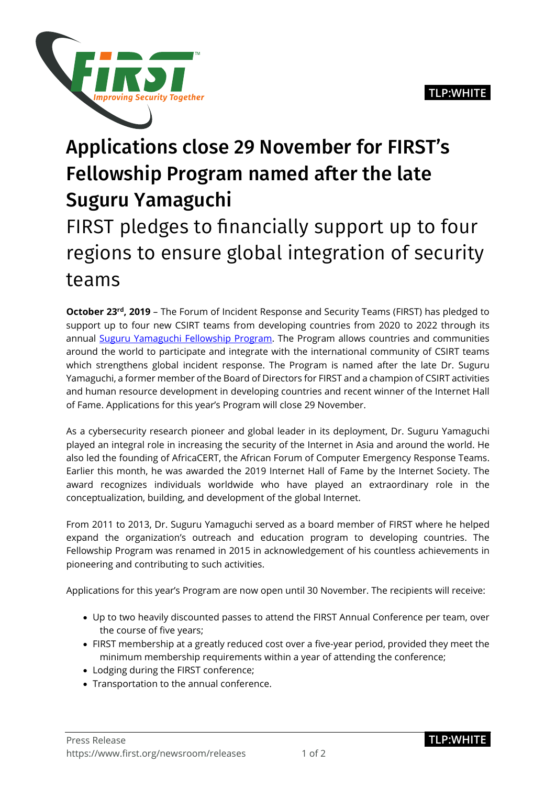

## Applications close 29 November for FIRST's Fellowship Program named after the late Suguru Yamaguchi

## FIRST pledges to financially support up to four regions to ensure global integration of security teams

**October 23<sup>rd</sup>, 2019** – The Forum of Incident Response and Security Teams (FIRST) has pledged to support up to four new CSIRT teams from developing countries from 2020 to 2022 through its annual [Suguru Yamaguchi Fellowship Program.](https://www.first.org/global/fellowship/) The Program allows countries and communities around the world to participate and integrate with the international community of CSIRT teams which strengthens global incident response. The Program is named after the late Dr. Suguru Yamaguchi, a former member of the Board of Directors for FIRST and a champion of CSIRT activities and human resource development in developing countries and recent winner of the Internet Hall of Fame. Applications for this year's Program will close 29 November.

As a cybersecurity research pioneer and global leader in its deployment, Dr. Suguru Yamaguchi played an integral role in increasing the security of the Internet in Asia and around the world. He also led the founding of AfricaCERT, the African Forum of Computer Emergency Response Teams. Earlier this month, he was awarded the 2019 Internet Hall of Fame by the Internet Society. The award recognizes individuals worldwide who have played an extraordinary role in the conceptualization, building, and development of the global Internet.

From 2011 to 2013, Dr. Suguru Yamaguchi served as a board member of FIRST where he helped expand the organization's outreach and education program to developing countries. The Fellowship Program was renamed in 2015 in acknowledgement of his countless achievements in pioneering and contributing to such activities.

Applications for this year's Program are now open until 30 November. The recipients will receive:

- Up to two heavily discounted passes to attend the FIRST Annual Conference per team, over the course of five years;
- FIRST membership at a greatly reduced cost over a five-year period, provided they meet the minimum membership requirements within a year of attending the conference;
- Lodging during the FIRST conference;
- Transportation to the annual conference.